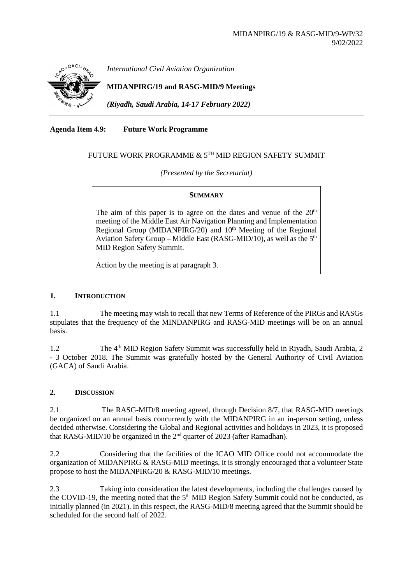

*International Civil Aviation Organization*

**MIDANPIRG/19 and RASG-MID/9 Meetings**

*(Riyadh, Saudi Arabia, 14-17 February 2022)*

**Agenda Item 4.9: Future Work Programme**

# FUTURE WORK PROGRAMME & 5TH MID REGION SAFETY SUMMIT

*(Presented by the Secretariat)*

#### **SUMMARY**

The aim of this paper is to agree on the dates and venue of the  $20<sup>th</sup>$ meeting of the Middle East Air Navigation Planning and Implementation Regional Group (MIDANPIRG/20) and 10<sup>th</sup> Meeting of the Regional Aviation Safety Group – Middle East (RASG-MID/10), as well as the  $5<sup>th</sup>$ MID Region Safety Summit.

Action by the meeting is at paragraph 3.

### **1. INTRODUCTION**

1.1 The meeting may wish to recall that new Terms of Reference of the PIRGs and RASGs stipulates that the frequency of the MINDANPIRG and RASG-MID meetings will be on an annual basis.

1.2 The 4th MID Region Safety Summit was successfully held in Riyadh, Saudi Arabia, 2 - 3 October 2018. The Summit was gratefully hosted by the General Authority of Civil Aviation (GACA) of Saudi Arabia.

## **2. DISCUSSION**

2.1 The RASG-MID/8 meeting agreed, through Decision 8/7, that RASG-MID meetings be organized on an annual basis concurrently with the MIDANPIRG in an in-person setting, unless decided otherwise. Considering the Global and Regional activities and holidays in 2023, it is proposed that RASG-MID/10 be organized in the 2<sup>nd</sup> quarter of 2023 (after Ramadhan).

2.2 Considering that the facilities of the ICAO MID Office could not accommodate the organization of MIDANPIRG & RASG-MID meetings, it is strongly encouraged that a volunteer State propose to host the MIDANPIRG/20 & RASG-MID/10 meetings.

2.3 Taking into consideration the latest developments, including the challenges caused by the COVID-19, the meeting noted that the 5<sup>th</sup> MID Region Safety Summit could not be conducted, as initially planned (in 2021). In this respect, the RASG-MID/8 meeting agreed that the Summit should be scheduled for the second half of 2022.